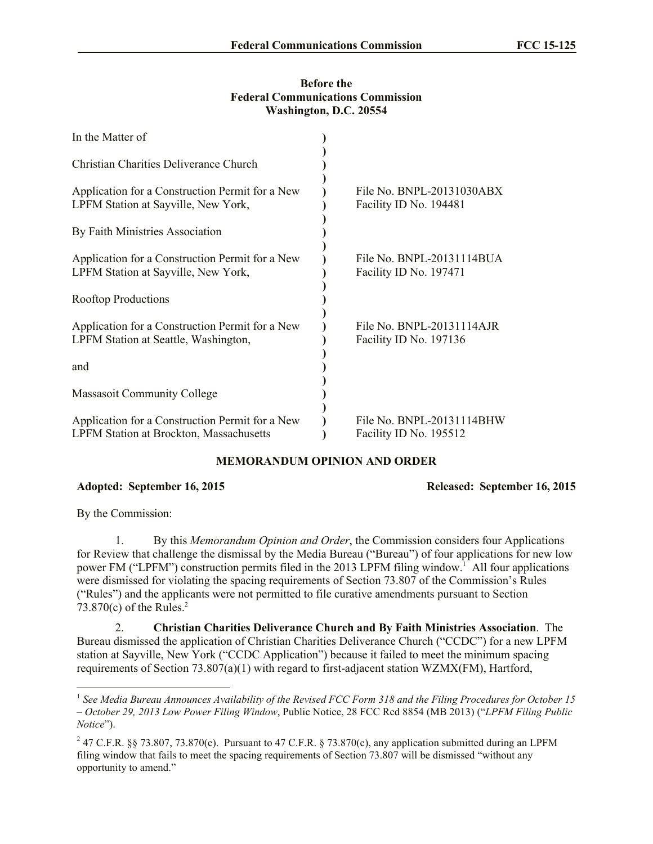## **Before the Federal Communications Commission Washington, D.C. 20554**

| In the Matter of                                                                                  |                                                     |
|---------------------------------------------------------------------------------------------------|-----------------------------------------------------|
| Christian Charities Deliverance Church                                                            |                                                     |
| Application for a Construction Permit for a New<br>LPFM Station at Sayville, New York,            | File No. BNPL-20131030ABX<br>Facility ID No. 194481 |
| By Faith Ministries Association                                                                   |                                                     |
| Application for a Construction Permit for a New<br>LPFM Station at Sayville, New York,            | File No. BNPL-20131114BUA<br>Facility ID No. 197471 |
| <b>Rooftop Productions</b>                                                                        |                                                     |
| Application for a Construction Permit for a New<br>LPFM Station at Seattle, Washington,           | File No. BNPL-20131114AJR<br>Facility ID No. 197136 |
| and                                                                                               |                                                     |
| <b>Massasoit Community College</b>                                                                |                                                     |
| Application for a Construction Permit for a New<br><b>LPFM Station at Brockton, Massachusetts</b> | File No. BNPL-20131114BHW<br>Facility ID No. 195512 |

## **MEMORANDUM OPINION AND ORDER**

## **Adopted: September 16, 2015 Released: September 16, 2015**

By the Commission:

 $\overline{a}$ 

1. By this *Memorandum Opinion and Order*, the Commission considers four Applications for Review that challenge the dismissal by the Media Bureau ("Bureau") of four applications for new low power FM ("LPFM") construction permits filed in the 2013 LPFM filing window.<sup>1</sup> All four applications were dismissed for violating the spacing requirements of Section 73.807 of the Commission's Rules ("Rules") and the applicants were not permitted to file curative amendments pursuant to Section 73.870 $(c)$  of the Rules.<sup>2</sup>

2. **Christian Charities Deliverance Church and By Faith Ministries Association**. The Bureau dismissed the application of Christian Charities Deliverance Church ("CCDC") for a new LPFM station at Sayville, New York ("CCDC Application") because it failed to meet the minimum spacing requirements of Section 73.807(a)(1) with regard to first-adjacent station WZMX(FM), Hartford,

<sup>&</sup>lt;sup>1</sup> See Media Bureau Announces Availability of the Revised FCC Form 318 and the Filing Procedures for October 15 *– October 29, 2013 Low Power Filing Window*, Public Notice, 28 FCC Rcd 8854 (MB 2013) ("*LPFM Filing Public Notice*").

<sup>&</sup>lt;sup>2</sup> 47 C.F.R. §§ 73.807, 73.870(c). Pursuant to 47 C.F.R. § 73.870(c), any application submitted during an LPFM filing window that fails to meet the spacing requirements of Section 73.807 will be dismissed "without any opportunity to amend."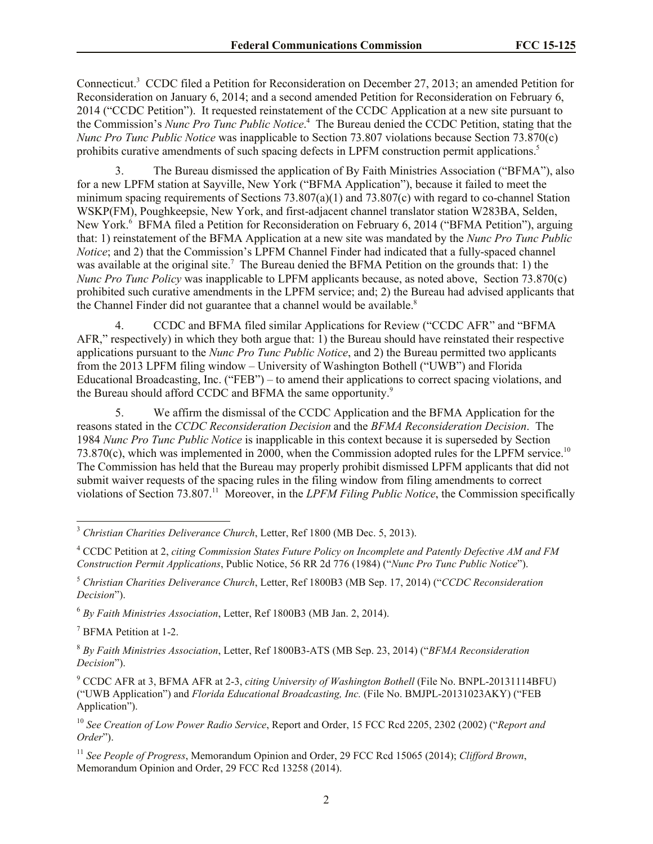Connecticut.<sup>3</sup> CCDC filed a Petition for Reconsideration on December 27, 2013; an amended Petition for Reconsideration on January 6, 2014; and a second amended Petition for Reconsideration on February 6, 2014 ("CCDC Petition"). It requested reinstatement of the CCDC Application at a new site pursuant to the Commission's *Nunc Pro Tunc Public Notice*. 4 The Bureau denied the CCDC Petition, stating that the *Nunc Pro Tunc Public Notice* was inapplicable to Section 73.807 violations because Section 73.870(c) prohibits curative amendments of such spacing defects in LPFM construction permit applications.<sup>5</sup>

3. The Bureau dismissed the application of By Faith Ministries Association ("BFMA"), also for a new LPFM station at Sayville, New York ("BFMA Application"), because it failed to meet the minimum spacing requirements of Sections  $73.807(a)(1)$  and  $73.807(c)$  with regard to co-channel Station WSKP(FM), Poughkeepsie, New York, and first-adjacent channel translator station W283BA, Selden, New York.<sup>6</sup> BFMA filed a Petition for Reconsideration on February 6, 2014 ("BFMA Petition"), arguing that: 1) reinstatement of the BFMA Application at a new site was mandated by the *Nunc Pro Tunc Public Notice*; and 2) that the Commission's LPFM Channel Finder had indicated that a fully-spaced channel was available at the original site.<sup>7</sup> The Bureau denied the BFMA Petition on the grounds that: 1) the *Nunc Pro Tunc Policy* was inapplicable to LPFM applicants because, as noted above, Section 73.870(c) prohibited such curative amendments in the LPFM service; and; 2) the Bureau had advised applicants that the Channel Finder did not guarantee that a channel would be available.<sup>8</sup>

4. CCDC and BFMA filed similar Applications for Review ("CCDC AFR" and "BFMA AFR," respectively) in which they both argue that: 1) the Bureau should have reinstated their respective applications pursuant to the *Nunc Pro Tunc Public Notice*, and 2) the Bureau permitted two applicants from the 2013 LPFM filing window – University of Washington Bothell ("UWB") and Florida Educational Broadcasting, Inc. ("FEB") – to amend their applications to correct spacing violations, and the Bureau should afford CCDC and BFMA the same opportunity.<sup>9</sup>

5. We affirm the dismissal of the CCDC Application and the BFMA Application for the reasons stated in the *CCDC Reconsideration Decision* and the *BFMA Reconsideration Decision*. The 1984 *Nunc Pro Tunc Public Notice* is inapplicable in this context because it is superseded by Section  $73.870(c)$ , which was implemented in 2000, when the Commission adopted rules for the LPFM service.<sup>10</sup> The Commission has held that the Bureau may properly prohibit dismissed LPFM applicants that did not submit waiver requests of the spacing rules in the filing window from filing amendments to correct violations of Section 73.807.<sup>11</sup> Moreover, in the *LPFM Filing Public Notice*, the Commission specifically

 $\overline{\phantom{a}}$ <sup>3</sup> *Christian Charities Deliverance Church*, Letter, Ref 1800 (MB Dec. 5, 2013).

<sup>4</sup> CCDC Petition at 2, *citing Commission States Future Policy on Incomplete and Patently Defective AM and FM Construction Permit Applications*, Public Notice, 56 RR 2d 776 (1984) ("*Nunc Pro Tunc Public Notice*").

<sup>5</sup> *Christian Charities Deliverance Church*, Letter, Ref 1800B3 (MB Sep. 17, 2014) ("*CCDC Reconsideration Decision*").

<sup>6</sup> *By Faith Ministries Association*, Letter, Ref 1800B3 (MB Jan. 2, 2014).

<sup>7</sup> BFMA Petition at 1-2.

<sup>8</sup> *By Faith Ministries Association*, Letter, Ref 1800B3-ATS (MB Sep. 23, 2014) ("*BFMA Reconsideration Decision*").

<sup>9</sup> CCDC AFR at 3, BFMA AFR at 2-3, *citing University of Washington Bothell* (File No. BNPL-20131114BFU) ("UWB Application") and *Florida Educational Broadcasting, Inc.* (File No. BMJPL-20131023AKY) ("FEB Application").

<sup>10</sup> *See Creation of Low Power Radio Service*, Report and Order, 15 FCC Rcd 2205, 2302 (2002) ("*Report and Order*").

<sup>11</sup> *See People of Progress*, Memorandum Opinion and Order, 29 FCC Rcd 15065 (2014); *Clifford Brown*, Memorandum Opinion and Order, 29 FCC Rcd 13258 (2014).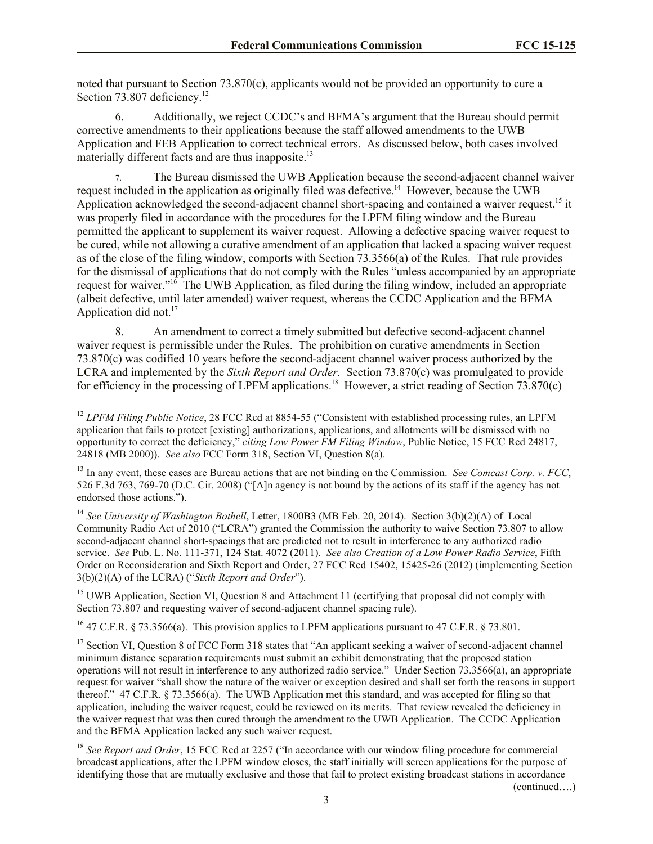noted that pursuant to Section 73.870(c), applicants would not be provided an opportunity to cure a Section 73.807 deficiency.<sup>12</sup>

6. Additionally, we reject CCDC's and BFMA's argument that the Bureau should permit corrective amendments to their applications because the staff allowed amendments to the UWB Application and FEB Application to correct technical errors. As discussed below, both cases involved materially different facts and are thus inapposite.<sup>13</sup>

The Bureau dismissed the UWB Application because the second-adjacent channel waiver request included in the application as originally filed was defective.<sup>14</sup> However, because the UWB Application acknowledged the second-adjacent channel short-spacing and contained a waiver request,<sup>15</sup> it was properly filed in accordance with the procedures for the LPFM filing window and the Bureau permitted the applicant to supplement its waiver request. Allowing a defective spacing waiver request to be cured, while not allowing a curative amendment of an application that lacked a spacing waiver request as of the close of the filing window, comports with Section 73.3566(a) of the Rules. That rule provides for the dismissal of applications that do not comply with the Rules "unless accompanied by an appropriate request for waiver."<sup>16</sup> The UWB Application, as filed during the filing window, included an appropriate (albeit defective, until later amended) waiver request, whereas the CCDC Application and the BFMA Application did not.<sup>17</sup>

8. An amendment to correct a timely submitted but defective second-adjacent channel waiver request is permissible under the Rules. The prohibition on curative amendments in Section 73.870(c) was codified 10 years before the second-adjacent channel waiver process authorized by the LCRA and implemented by the *Sixth Report and Order*. Section 73.870(c) was promulgated to provide for efficiency in the processing of LPFM applications.<sup>18</sup> However, a strict reading of Section 73.870(c)

 $\overline{\phantom{a}}$ 

<sup>15</sup> UWB Application, Section VI, Question 8 and Attachment 11 (certifying that proposal did not comply with Section 73.807 and requesting waiver of second-adjacent channel spacing rule).

<sup>16</sup> 47 C.F.R. § 73.3566(a). This provision applies to LPFM applications pursuant to 47 C.F.R. § 73.801.

<sup>17</sup> Section VI, Question 8 of FCC Form 318 states that "An applicant seeking a waiver of second-adjacent channel minimum distance separation requirements must submit an exhibit demonstrating that the proposed station operations will not result in interference to any authorized radio service." Under Section 73.3566(a), an appropriate request for waiver "shall show the nature of the waiver or exception desired and shall set forth the reasons in support thereof." 47 C.F.R. § 73.3566(a). The UWB Application met this standard, and was accepted for filing so that application, including the waiver request, could be reviewed on its merits. That review revealed the deficiency in the waiver request that was then cured through the amendment to the UWB Application. The CCDC Application and the BFMA Application lacked any such waiver request.

<sup>18</sup> See Report and Order, 15 FCC Rcd at 2257 ("In accordance with our window filing procedure for commercial broadcast applications, after the LPFM window closes, the staff initially will screen applications for the purpose of identifying those that are mutually exclusive and those that fail to protect existing broadcast stations in accordance

(continued….)

<sup>&</sup>lt;sup>12</sup> *LPFM Filing Public Notice*, 28 FCC Rcd at 8854-55 ("Consistent with established processing rules, an LPFM application that fails to protect [existing] authorizations, applications, and allotments will be dismissed with no opportunity to correct the deficiency," *citing Low Power FM Filing Window*, Public Notice, 15 FCC Rcd 24817, 24818 (MB 2000)). *See also* FCC Form 318, Section VI, Question 8(a).

<sup>13</sup> In any event, these cases are Bureau actions that are not binding on the Commission. *See Comcast Corp. v. FCC*, 526 F.3d 763, 769-70 (D.C. Cir. 2008) ("[A]n agency is not bound by the actions of its staff if the agency has not endorsed those actions.").

<sup>14</sup> *See University of Washington Bothell*, Letter, 1800B3 (MB Feb. 20, 2014). Section 3(b)(2)(A) of Local Community Radio Act of 2010 ("LCRA") granted the Commission the authority to waive Section 73.807 to allow second-adjacent channel short-spacings that are predicted not to result in interference to any authorized radio service. *See* Pub. L. No. 111-371, 124 Stat. 4072 (2011). *See also Creation of a Low Power Radio Service*, Fifth Order on Reconsideration and Sixth Report and Order, 27 FCC Rcd 15402, 15425-26 (2012) (implementing Section 3(b)(2)(A) of the LCRA) ("*Sixth Report and Order*").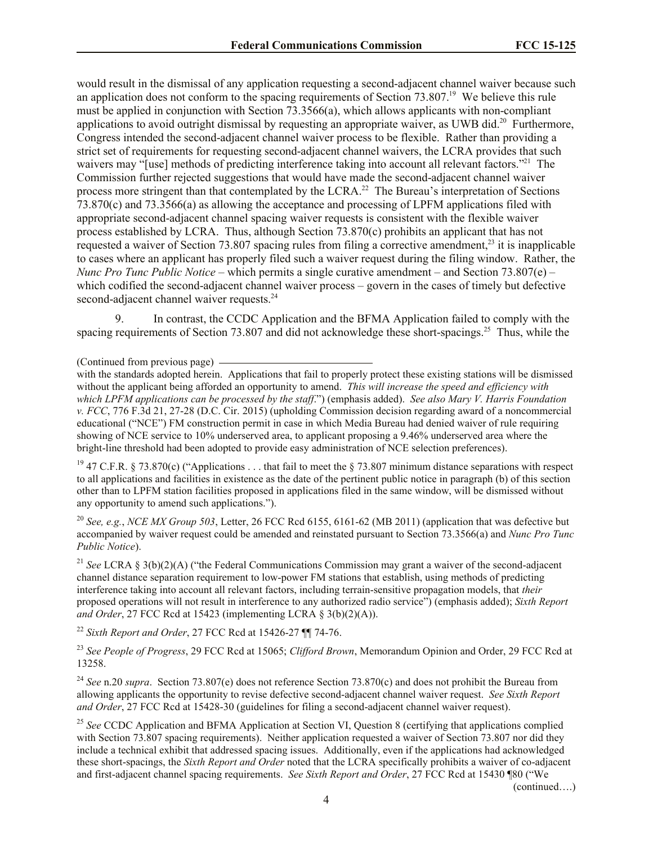would result in the dismissal of any application requesting a second-adjacent channel waiver because such an application does not conform to the spacing requirements of Section  $73.807<sup>19</sup>$  We believe this rule must be applied in conjunction with Section 73.3566(a), which allows applicants with non-compliant applications to avoid outright dismissal by requesting an appropriate waiver, as UWB did.<sup>20</sup> Furthermore, Congress intended the second-adjacent channel waiver process to be flexible. Rather than providing a strict set of requirements for requesting second-adjacent channel waivers, the LCRA provides that such waivers may "[use] methods of predicting interference taking into account all relevant factors."<sup>21</sup> The Commission further rejected suggestions that would have made the second-adjacent channel waiver process more stringent than that contemplated by the LCRA.<sup>22</sup> The Bureau's interpretation of Sections 73.870(c) and 73.3566(a) as allowing the acceptance and processing of LPFM applications filed with appropriate second-adjacent channel spacing waiver requests is consistent with the flexible waiver process established by LCRA. Thus, although Section 73.870(c) prohibits an applicant that has not requested a waiver of Section 73.807 spacing rules from filing a corrective amendment,<sup>23</sup> it is inapplicable to cases where an applicant has properly filed such a waiver request during the filing window. Rather, the *Nunc Pro Tunc Public Notice* – which permits a single curative amendment – and Section 73.807(e) – which codified the second-adjacent channel waiver process – govern in the cases of timely but defective second-adjacent channel waiver requests.<sup>24</sup>

9. In contrast, the CCDC Application and the BFMA Application failed to comply with the spacing requirements of Section 73.807 and did not acknowledge these short-spacings.<sup>25</sup> Thus, while the

(Continued from previous page)

with the standards adopted herein. Applications that fail to properly protect these existing stations will be dismissed without the applicant being afforded an opportunity to amend. *This will increase the speed and efficiency with which LPFM applications can be processed by the staff*.") (emphasis added). *See also Mary V. Harris Foundation v. FCC*, 776 F.3d 21, 27-28 (D.C. Cir. 2015) (upholding Commission decision regarding award of a noncommercial educational ("NCE") FM construction permit in case in which Media Bureau had denied waiver of rule requiring showing of NCE service to 10% underserved area, to applicant proposing a 9.46% underserved area where the bright-line threshold had been adopted to provide easy administration of NCE selection preferences).

<sup>19</sup> 47 C.F.R. § 73.870(c) ("Applications . . . that fail to meet the § 73.807 minimum distance separations with respect to all applications and facilities in existence as the date of the pertinent public notice in paragraph (b) of this section other than to LPFM station facilities proposed in applications filed in the same window, will be dismissed without any opportunity to amend such applications.").

<sup>20</sup> *See, e.g.*, *NCE MX Group 503*, Letter, 26 FCC Rcd 6155, 6161-62 (MB 2011) (application that was defective but accompanied by waiver request could be amended and reinstated pursuant to Section 73.3566(a) and *Nunc Pro Tunc Public Notice*).

<sup>21</sup> *See* LCRA § 3(b)(2)(A) ("the Federal Communications Commission may grant a waiver of the second-adjacent channel distance separation requirement to low-power FM stations that establish, using methods of predicting interference taking into account all relevant factors, including terrain-sensitive propagation models, that *their*  proposed operations will not result in interference to any authorized radio service") (emphasis added); *Sixth Report and Order*, 27 FCC Rcd at 15423 (implementing LCRA § 3(b)(2)(A)).

<sup>22</sup> *Sixth Report and Order*, 27 FCC Rcd at 15426-27 ¶¶ 74-76.

<sup>23</sup> *See People of Progress*, 29 FCC Rcd at 15065; *Clifford Brown*, Memorandum Opinion and Order, 29 FCC Rcd at 13258.

<sup>24</sup> *See* n.20 *supra*. Section 73.807(e) does not reference Section 73.870(c) and does not prohibit the Bureau from allowing applicants the opportunity to revise defective second-adjacent channel waiver request. *See Sixth Report and Order*, 27 FCC Rcd at 15428-30 (guidelines for filing a second-adjacent channel waiver request).

<sup>25</sup> See CCDC Application and BFMA Application at Section VI, Question 8 (certifying that applications complied with Section 73.807 spacing requirements). Neither application requested a waiver of Section 73.807 nor did they include a technical exhibit that addressed spacing issues. Additionally, even if the applications had acknowledged these short-spacings, the *Sixth Report and Order* noted that the LCRA specifically prohibits a waiver of co-adjacent and first-adjacent channel spacing requirements. *See Sixth Report and Order*, 27 FCC Rcd at 15430 ¶80 ("We

(continued….)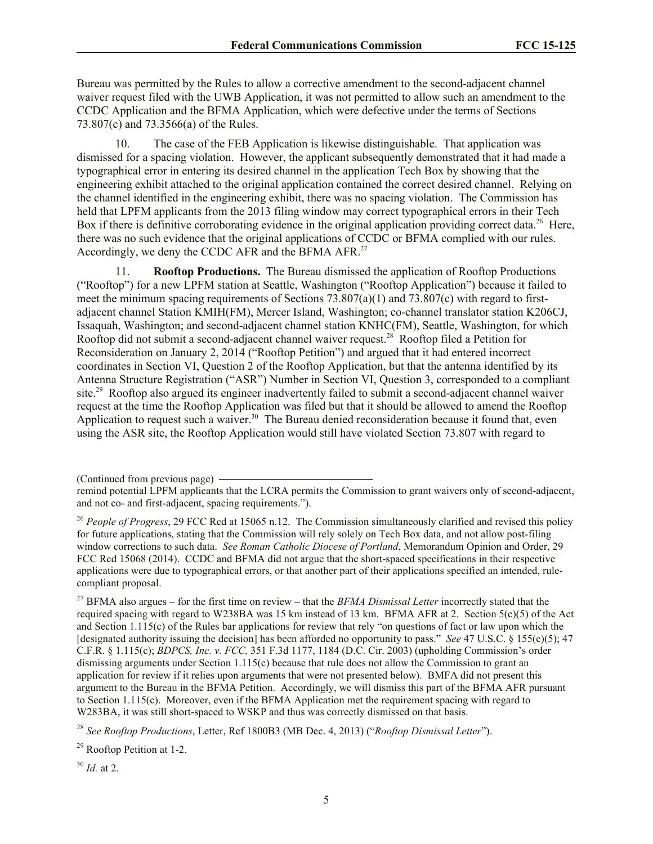Bureau was permitted by the Rules to allow a corrective amendment to the second-adjacent channel waiver request filed with the UWB Application, it was not permitted to allow such an amendment to the CCDC Application and the BFMA Application, which were defective under the terms of Sections 73.807(c) and 73.3566(a) of the Rules.

10. The case of the FEB Application is likewise distinguishable. That application was dismissed for a spacing violation. However, the applicant subsequently demonstrated that it had made a typographical error in entering its desired channel in the application Tech Box by showing that the engineering exhibit attached to the original application contained the correct desired channel. Relying on the channel identified in the engineering exhibit, there was no spacing violation. The Commission has held that LPFM applicants from the 2013 filing window may correct typographical errors in their Tech Box if there is definitive corroborating evidence in the original application providing correct data.<sup>26</sup> Here, there was no such evidence that the original applications of CCDC or BFMA complied with our rules. Accordingly, we deny the CCDC AFR and the BFMA AFR.<sup>27</sup>

11. **Rooftop Productions.** The Bureau dismissed the application of Rooftop Productions ("Rooftop") for a new LPFM station at Seattle, Washington ("Rooftop Application") because it failed to meet the minimum spacing requirements of Sections 73.807(a)(1) and 73.807(c) with regard to firstadjacent channel Station KMIH(FM), Mercer Island, Washington; co-channel translator station K206CJ, Issaquah, Washington; and second-adjacent channel station KNHC(FM), Seattle, Washington, for which Rooftop did not submit a second-adjacent channel waiver request.<sup>28</sup> Rooftop filed a Petition for Reconsideration on January 2, 2014 ("Rooftop Petition") and argued that it had entered incorrect coordinates in Section VI, Question 2 of the Rooftop Application, but that the antenna identified by its Antenna Structure Registration ("ASR") Number in Section VI, Question 3, corresponded to a compliant site.<sup>29</sup> Rooftop also argued its engineer inadvertently failed to submit a second-adjacent channel waiver request at the time the Rooftop Application was filed but that it should be allowed to amend the Rooftop Application to request such a waiver.<sup>30</sup> The Bureau denied reconsideration because it found that, even using the ASR site, the Rooftop Application would still have violated Section 73.807 with regard to

<sup>27</sup> BFMA also argues – for the first time on review – that the *BFMA Dismissal Letter* incorrectly stated that the required spacing with regard to W238BA was 15 km instead of 13 km. BFMA AFR at 2. Section 5(c)(5) of the Act and Section 1.115(c) of the Rules bar applications for review that rely "on questions of fact or law upon which the [designated authority issuing the decision] has been afforded no opportunity to pass." *See* 47 U.S.C. § 155(c)(5); 47 C.F.R. § 1.115(c); *BDPCS, Inc. v. FCC,* 351 F.3d 1177, 1184 (D.C. Cir. 2003) (upholding Commission's order dismissing arguments under Section 1.115(c) because that rule does not allow the Commission to grant an application for review if it relies upon arguments that were not presented below). BMFA did not present this argument to the Bureau in the BFMA Petition. Accordingly, we will dismiss this part of the BFMA AFR pursuant to Section 1.115(c). Moreover, even if the BFMA Application met the requirement spacing with regard to W283BA, it was still short-spaced to WSKP and thus was correctly dismissed on that basis.

<sup>28</sup> *See Rooftop Productions*, Letter, Ref 1800B3 (MB Dec. 4, 2013) ("*Rooftop Dismissal Letter*").

<sup>29</sup> Rooftop Petition at 1-2.

<sup>30</sup> *Id.* at 2.

<sup>(</sup>Continued from previous page)

remind potential LPFM applicants that the LCRA permits the Commission to grant waivers only of second-adjacent, and not co- and first-adjacent, spacing requirements.").

<sup>&</sup>lt;sup>26</sup> *People of Progress*, 29 FCC Rcd at 15065 n.12. The Commission simultaneously clarified and revised this policy for future applications, stating that the Commission will rely solely on Tech Box data, and not allow post-filing window corrections to such data. *See Roman Catholic Diocese of Portland*, Memorandum Opinion and Order, 29 FCC Rcd 15068 (2014). CCDC and BFMA did not argue that the short-spaced specifications in their respective applications were due to typographical errors, or that another part of their applications specified an intended, rulecompliant proposal.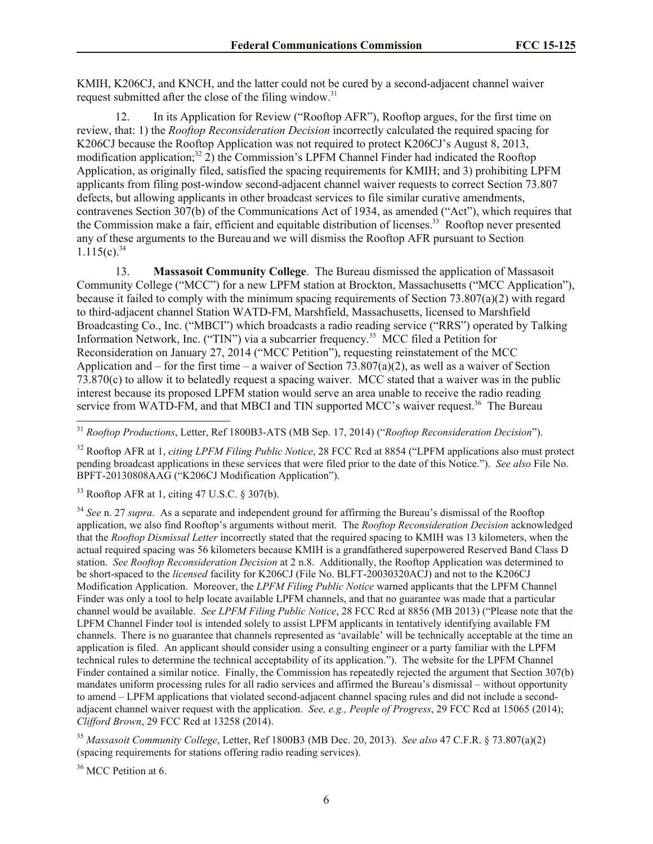KMIH, K206CJ, and KNCH, and the latter could not be cured by a second-adjacent channel waiver request submitted after the close of the filing window.<sup>31</sup>

12. In its Application for Review ("Rooftop AFR"), Rooftop argues, for the first time on review, that: 1) the *Rooftop Reconsideration Decision* incorrectly calculated the required spacing for K206CJ because the Rooftop Application was not required to protect K206CJ's August 8, 2013, modification application;<sup>32</sup> 2) the Commission's LPFM Channel Finder had indicated the Rooftop Application, as originally filed, satisfied the spacing requirements for KMIH; and 3) prohibiting LPFM applicants from filing post-window second-adjacent channel waiver requests to correct Section 73.807 defects, but allowing applicants in other broadcast services to file similar curative amendments, contravenes Section 307(b) of the Communications Act of 1934, as amended ("Act"), which requires that the Commission make a fair, efficient and equitable distribution of licenses.<sup>33</sup> Rooftop never presented any of these arguments to the Bureau and we will dismiss the Rooftop AFR pursuant to Section  $1.115(c).^{34}$ 

13. **Massasoit Community College**. The Bureau dismissed the application of Massasoit Community College ("MCC") for a new LPFM station at Brockton, Massachusetts ("MCC Application"), because it failed to comply with the minimum spacing requirements of Section 73.807(a)(2) with regard to third-adjacent channel Station WATD-FM, Marshfield, Massachusetts, licensed to Marshfield Broadcasting Co., Inc. ("MBCI") which broadcasts a radio reading service ("RRS") operated by Talking Information Network, Inc. ("TIN") via a subcarrier frequency.<sup>35</sup> MCC filed a Petition for Reconsideration on January 27, 2014 ("MCC Petition"), requesting reinstatement of the MCC Application and – for the first time – a waiver of Section 73.807(a)(2), as well as a waiver of Section 73.870(c) to allow it to belatedly request a spacing waiver. MCC stated that a waiver was in the public interest because its proposed LPFM station would serve an area unable to receive the radio reading service from WATD-FM, and that MBCI and TIN supported MCC's waiver request.<sup>36</sup> The Bureau

<sup>31</sup> *Rooftop Productions*, Letter, Ref 1800B3-ATS (MB Sep. 17, 2014) ("*Rooftop Reconsideration Decision*").

<sup>32</sup> Rooftop AFR at 1, *citing LPFM Filing Public Notice*, 28 FCC Rcd at 8854 ("LPFM applications also must protect pending broadcast applications in these services that were filed prior to the date of this Notice."). *See also* File No. BPFT-20130808AAG ("K206CJ Modification Application").

 $33$  Rooftop AFR at 1, citing 47 U.S.C. § 307(b).

<sup>34</sup> *See* n. 27 *supra*. As a separate and independent ground for affirming the Bureau's dismissal of the Rooftop application, we also find Rooftop's arguments without merit. The *Rooftop Reconsideration Decision* acknowledged that the *Rooftop Dismissal Letter* incorrectly stated that the required spacing to KMIH was 13 kilometers, when the actual required spacing was 56 kilometers because KMIH is a grandfathered superpowered Reserved Band Class D station. *See Rooftop Reconsideration Decision* at 2 n.8. Additionally, the Rooftop Application was determined to be short-spaced to the *licensed* facility for K206CJ (File No. BLFT-20030320ACJ) and not to the K206CJ Modification Application. Moreover, the *LPFM Filing Public Notice* warned applicants that the LPFM Channel Finder was only a tool to help locate available LPFM channels, and that no guarantee was made that a particular channel would be available. *See LPFM Filing Public Notice*, 28 FCC Rcd at 8856 (MB 2013) ("Please note that the LPFM Channel Finder tool is intended solely to assist LPFM applicants in tentatively identifying available FM channels. There is no guarantee that channels represented as 'available' will be technically acceptable at the time an application is filed. An applicant should consider using a consulting engineer or a party familiar with the LPFM technical rules to determine the technical acceptability of its application."). The website for the LPFM Channel Finder contained a similar notice. Finally, the Commission has repeatedly rejected the argument that Section 307(b) mandates uniform processing rules for all radio services and affirmed the Bureau's dismissal – without opportunity to amend – LPFM applications that violated second-adjacent channel spacing rules and did not include a secondadjacent channel waiver request with the application. *See, e.g., People of Progress*, 29 FCC Rcd at 15065 (2014); *Clifford Brown*, 29 FCC Rcd at 13258 (2014).

<sup>35</sup> *Massasoit Community College*, Letter, Ref 1800B3 (MB Dec. 20, 2013). *See also* 47 C.F.R. § 73.807(a)(2) (spacing requirements for stations offering radio reading services).

<sup>36</sup> MCC Petition at 6.

l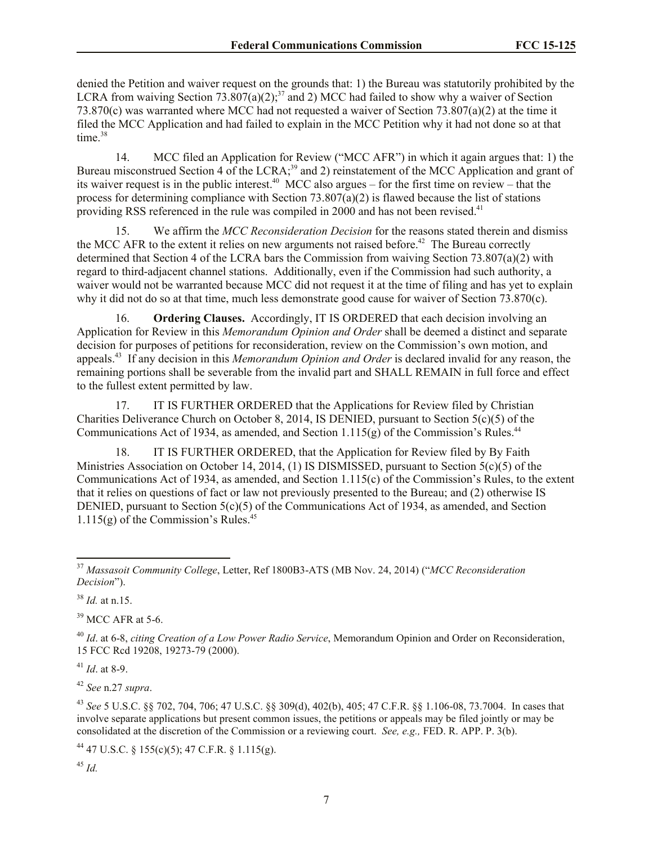denied the Petition and waiver request on the grounds that: 1) the Bureau was statutorily prohibited by the LCRA from waiving Section 73.807(a)(2);<sup>37</sup> and 2) MCC had failed to show why a waiver of Section 73.870(c) was warranted where MCC had not requested a waiver of Section 73.807(a)(2) at the time it filed the MCC Application and had failed to explain in the MCC Petition why it had not done so at that time. $38$ 

14. MCC filed an Application for Review ("MCC AFR") in which it again argues that: 1) the Bureau misconstrued Section 4 of the LCRA;<sup>39</sup> and 2) reinstatement of the MCC Application and grant of its waiver request is in the public interest.<sup>40</sup> MCC also argues – for the first time on review – that the process for determining compliance with Section  $73.807(a)(2)$  is flawed because the list of stations providing RSS referenced in the rule was compiled in 2000 and has not been revised.<sup>41</sup>

15. We affirm the *MCC Reconsideration Decision* for the reasons stated therein and dismiss the MCC AFR to the extent it relies on new arguments not raised before.<sup>42</sup> The Bureau correctly determined that Section 4 of the LCRA bars the Commission from waiving Section 73.807(a)(2) with regard to third-adjacent channel stations. Additionally, even if the Commission had such authority, a waiver would not be warranted because MCC did not request it at the time of filing and has yet to explain why it did not do so at that time, much less demonstrate good cause for waiver of Section 73.870(c).

16. **Ordering Clauses.** Accordingly, IT IS ORDERED that each decision involving an Application for Review in this *Memorandum Opinion and Order* shall be deemed a distinct and separate decision for purposes of petitions for reconsideration, review on the Commission's own motion, and appeals.<sup>43</sup> If any decision in this *Memorandum Opinion and Order* is declared invalid for any reason, the remaining portions shall be severable from the invalid part and SHALL REMAIN in full force and effect to the fullest extent permitted by law.

17. IT IS FURTHER ORDERED that the Applications for Review filed by Christian Charities Deliverance Church on October 8, 2014, IS DENIED, pursuant to Section 5(c)(5) of the Communications Act of 1934, as amended, and Section 1.115(g) of the Commission's Rules.<sup>44</sup>

18. IT IS FURTHER ORDERED, that the Application for Review filed by By Faith Ministries Association on October 14, 2014, (1) IS DISMISSED, pursuant to Section 5(c)(5) of the Communications Act of 1934, as amended, and Section 1.115(c) of the Commission's Rules, to the extent that it relies on questions of fact or law not previously presented to the Bureau; and (2) otherwise IS DENIED, pursuant to Section 5(c)(5) of the Communications Act of 1934, as amended, and Section  $1.115(g)$  of the Commission's Rules.<sup>45</sup>

<sup>38</sup> *Id.* at n.15.

 $\overline{\phantom{a}}$ 

 $39$  MCC AFR at 5-6.

<sup>41</sup> *Id*. at 8-9.

<sup>42</sup> *See* n.27 *supra*.

<sup>43</sup> *See* 5 U.S.C. §§ 702, 704, 706; 47 U.S.C. §§ 309(d), 402(b), 405; 47 C.F.R. §§ 1.106-08, 73.7004. In cases that involve separate applications but present common issues, the petitions or appeals may be filed jointly or may be consolidated at the discretion of the Commission or a reviewing court. *See, e.g.,* FED. R. APP. P. 3(b).

<sup>44</sup> 47 U.S.C. § 155(c)(5); 47 C.F.R. § 1.115(g).

<sup>37</sup> *Massasoit Community College*, Letter, Ref 1800B3-ATS (MB Nov. 24, 2014) ("*MCC Reconsideration Decision*").

<sup>40</sup> *Id*. at 6-8, *citing Creation of a Low Power Radio Service*, Memorandum Opinion and Order on Reconsideration, 15 FCC Rcd 19208, 19273-79 (2000).

<sup>45</sup> *Id.*